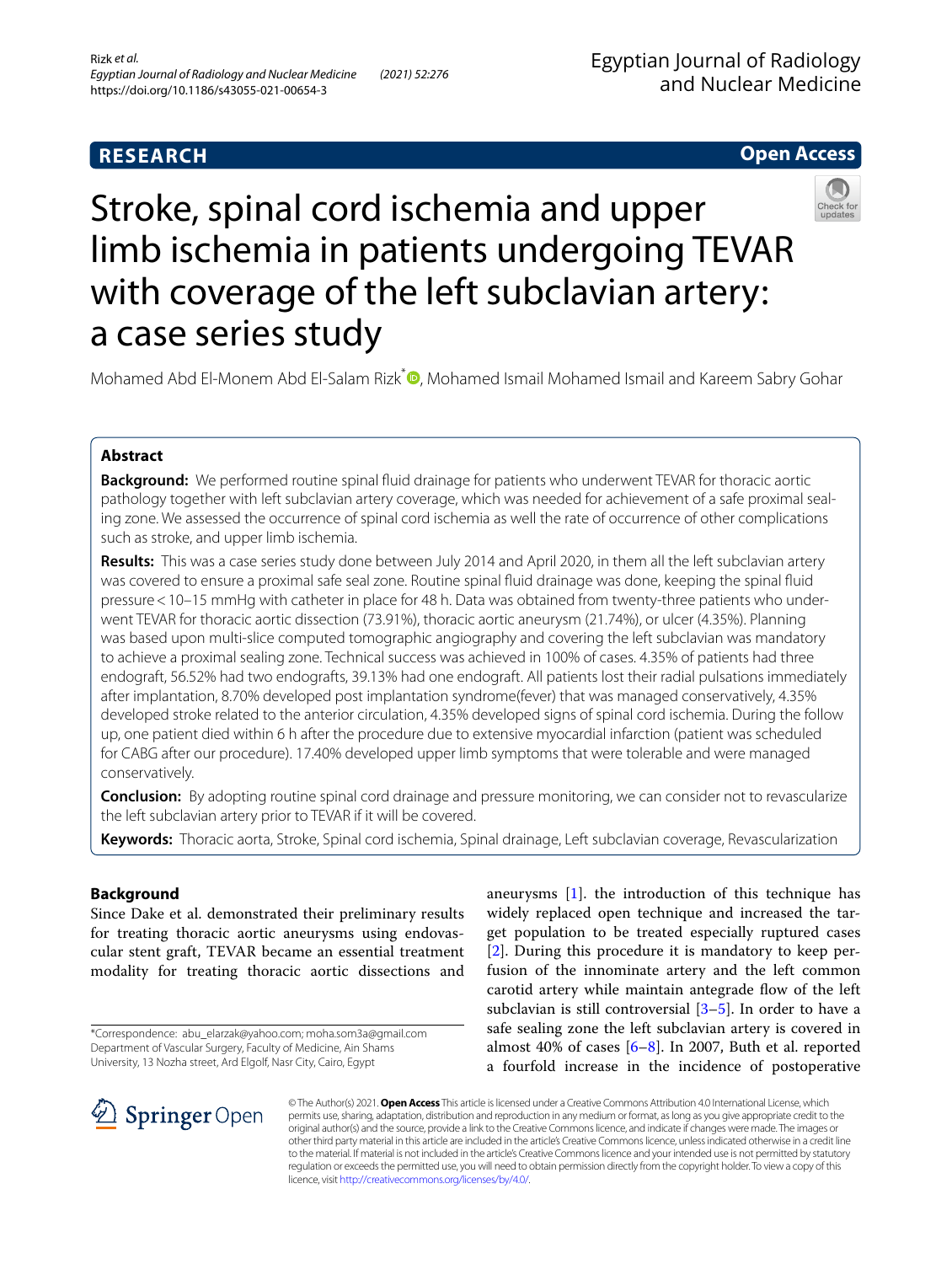# **Open Access**



# Stroke, spinal cord ischemia and upper limb ischemia in patients undergoing TEVAR with coverage of the left subclavian artery: a case series study

Mohamed Abd El-Monem Abd El-Salam Rizk\*<sup>®</sup>[,](http://orcid.org/0000-0001-8664-2538) Mohamed Ismail Mohamed Ismail and Kareem Sabry Gohar

## **Abstract**

**Background:** We performed routine spinal fuid drainage for patients who underwent TEVAR for thoracic aortic pathology together with left subclavian artery coverage, which was needed for achievement of a safe proximal sealing zone. We assessed the occurrence of spinal cord ischemia as well the rate of occurrence of other complications such as stroke, and upper limb ischemia.

**Results:** This was a case series study done between July 2014 and April 2020, in them all the left subclavian artery was covered to ensure a proximal safe seal zone. Routine spinal fuid drainage was done, keeping the spinal fuid pressure < 10–15 mmHg with catheter in place for 48 h. Data was obtained from twenty-three patients who underwent TEVAR for thoracic aortic dissection (73.91%), thoracic aortic aneurysm (21.74%), or ulcer (4.35%). Planning was based upon multi-slice computed tomographic angiography and covering the left subclavian was mandatory to achieve a proximal sealing zone. Technical success was achieved in 100% of cases. 4.35% of patients had three endograft, 56.52% had two endografts, 39.13% had one endograft. All patients lost their radial pulsations immediately after implantation, 8.70% developed post implantation syndrome(fever) that was managed conservatively, 4.35% developed stroke related to the anterior circulation, 4.35% developed signs of spinal cord ischemia. During the follow up, one patient died within 6 h after the procedure due to extensive myocardial infarction (patient was scheduled for CABG after our procedure). 17.40% developed upper limb symptoms that were tolerable and were managed conservatively.

**Conclusion:** By adopting routine spinal cord drainage and pressure monitoring, we can consider not to revascularize the left subclavian artery prior to TEVAR if it will be covered.

**Keywords:** Thoracic aorta, Stroke, Spinal cord ischemia, Spinal drainage, Left subclavian coverage, Revascularization

## **Background**

Since Dake et al. demonstrated their preliminary results for treating thoracic aortic aneurysms using endovascular stent graft, TEVAR became an essential treatment modality for treating thoracic aortic dissections and

\*Correspondence: abu\_elarzak@yahoo.com; moha.som3a@gmail.com Department of Vascular Surgery, Faculty of Medicine, Ain Shams University, 13 Nozha street, Ard Elgolf, Nasr City, Cairo, Egypt

aneurysms [[1\]](#page-5-0). the introduction of this technique has widely replaced open technique and increased the target population to be treated especially ruptured cases [[2\]](#page-5-1). During this procedure it is mandatory to keep perfusion of the innominate artery and the left common carotid artery while maintain antegrade fow of the left subclavian is still controversial [\[3](#page-5-2)[–5](#page-5-3)]. In order to have a safe sealing zone the left subclavian artery is covered in almost 40% of cases  $[6-8]$  $[6-8]$  $[6-8]$ . In 2007, Buth et al. reported a fourfold increase in the incidence of postoperative



© The Author(s) 2021. **Open Access** This article is licensed under a Creative Commons Attribution 4.0 International License, which permits use, sharing, adaptation, distribution and reproduction in any medium or format, as long as you give appropriate credit to the original author(s) and the source, provide a link to the Creative Commons licence, and indicate if changes were made. The images or other third party material in this article are included in the article's Creative Commons licence, unless indicated otherwise in a credit line to the material. If material is not included in the article's Creative Commons licence and your intended use is not permitted by statutory regulation or exceeds the permitted use, you will need to obtain permission directly from the copyright holder. To view a copy of this licence, visit [http://creativecommons.org/licenses/by/4.0/.](http://creativecommons.org/licenses/by/4.0/)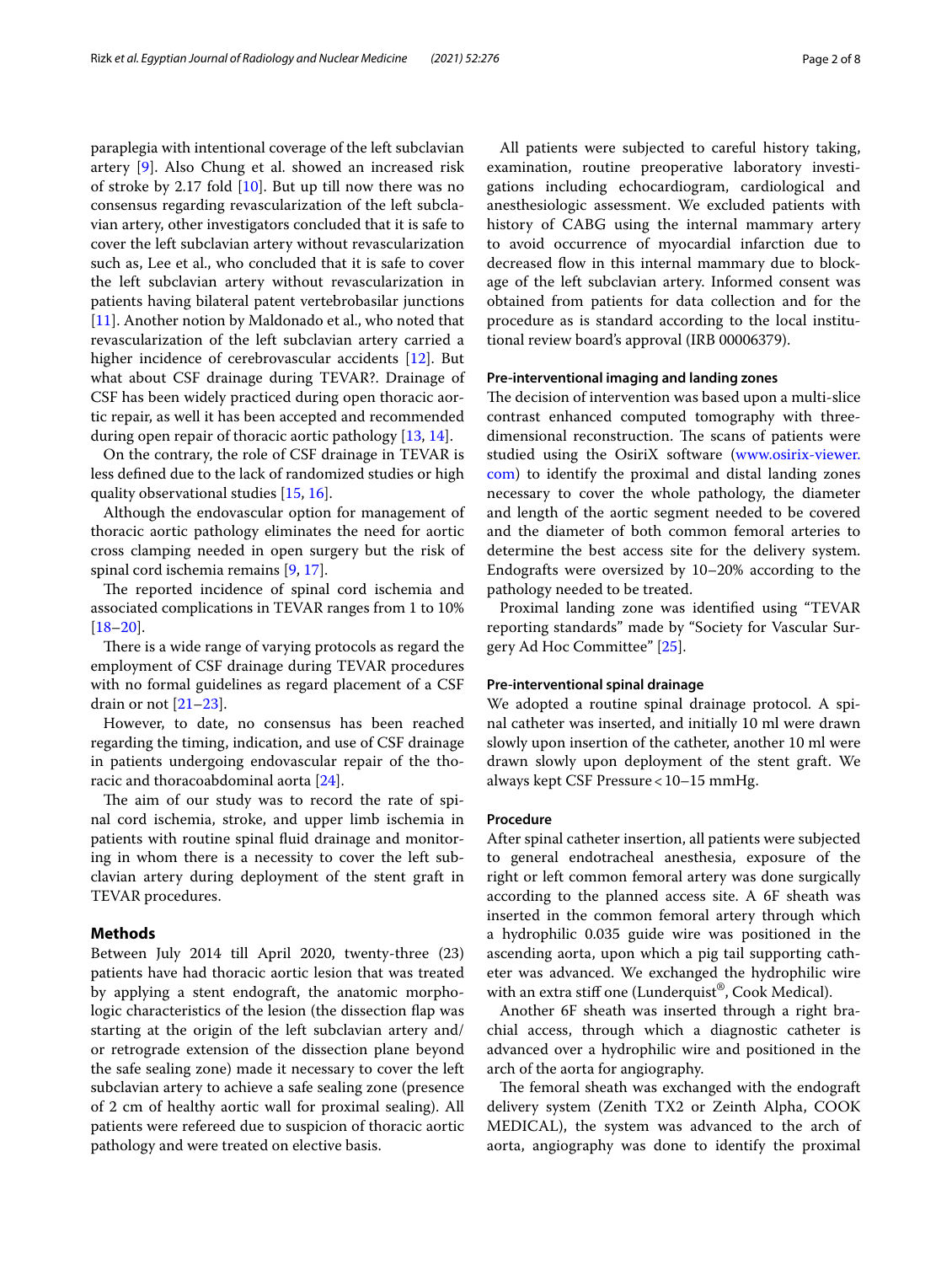paraplegia with intentional coverage of the left subclavian artery [[9](#page-5-6)]. Also Chung et al. showed an increased risk of stroke by 2.17 fold  $[10]$  $[10]$ . But up till now there was no consensus regarding revascularization of the left subclavian artery, other investigators concluded that it is safe to cover the left subclavian artery without revascularization such as, Lee et al., who concluded that it is safe to cover the left subclavian artery without revascularization in patients having bilateral patent vertebrobasilar junctions [[11\]](#page-5-8). Another notion by Maldonado et al., who noted that revascularization of the left subclavian artery carried a higher incidence of cerebrovascular accidents [[12\]](#page-6-0). But what about CSF drainage during TEVAR?. Drainage of CSF has been widely practiced during open thoracic aortic repair, as well it has been accepted and recommended during open repair of thoracic aortic pathology [\[13,](#page-6-1) [14](#page-6-2)].

On the contrary, the role of CSF drainage in TEVAR is less defned due to the lack of randomized studies or high quality observational studies [[15](#page-6-3), [16\]](#page-6-4).

Although the endovascular option for management of thoracic aortic pathology eliminates the need for aortic cross clamping needed in open surgery but the risk of spinal cord ischemia remains [[9,](#page-5-6) [17\]](#page-6-5).

The reported incidence of spinal cord ischemia and associated complications in TEVAR ranges from 1 to 10% [[18–](#page-6-6)[20](#page-6-7)].

There is a wide range of varying protocols as regard the employment of CSF drainage during TEVAR procedures with no formal guidelines as regard placement of a CSF drain or not [\[21–](#page-6-8)[23\]](#page-6-9).

However, to date, no consensus has been reached regarding the timing, indication, and use of CSF drainage in patients undergoing endovascular repair of the thoracic and thoracoabdominal aorta [\[24](#page-6-10)].

The aim of our study was to record the rate of spinal cord ischemia, stroke, and upper limb ischemia in patients with routine spinal fuid drainage and monitoring in whom there is a necessity to cover the left subclavian artery during deployment of the stent graft in TEVAR procedures.

#### **Methods**

Between July 2014 till April 2020, twenty-three (23) patients have had thoracic aortic lesion that was treated by applying a stent endograft, the anatomic morphologic characteristics of the lesion (the dissection fap was starting at the origin of the left subclavian artery and/ or retrograde extension of the dissection plane beyond the safe sealing zone) made it necessary to cover the left subclavian artery to achieve a safe sealing zone (presence of 2 cm of healthy aortic wall for proximal sealing). All patients were refereed due to suspicion of thoracic aortic pathology and were treated on elective basis.

All patients were subjected to careful history taking, examination, routine preoperative laboratory investigations including echocardiogram, cardiological and anesthesiologic assessment. We excluded patients with history of CABG using the internal mammary artery to avoid occurrence of myocardial infarction due to decreased fow in this internal mammary due to blockage of the left subclavian artery. Informed consent was obtained from patients for data collection and for the procedure as is standard according to the local institutional review board's approval (IRB 00006379).

#### **Pre‑interventional imaging and landing zones**

The decision of intervention was based upon a multi-slice contrast enhanced computed tomography with threedimensional reconstruction. The scans of patients were studied using the OsiriX software [\(www.osirix-viewer.](http://www.osirix-viewer.com) [com](http://www.osirix-viewer.com)) to identify the proximal and distal landing zones necessary to cover the whole pathology, the diameter and length of the aortic segment needed to be covered and the diameter of both common femoral arteries to determine the best access site for the delivery system. Endografts were oversized by 10–20% according to the pathology needed to be treated.

Proximal landing zone was identifed using "TEVAR reporting standards" made by "Society for Vascular Surgery Ad Hoc Committee" [\[25](#page-6-11)].

#### **Pre‑interventional spinal drainage**

We adopted a routine spinal drainage protocol. A spinal catheter was inserted, and initially 10 ml were drawn slowly upon insertion of the catheter, another 10 ml were drawn slowly upon deployment of the stent graft. We always kept CSF Pressure<10–15 mmHg.

#### **Procedure**

After spinal catheter insertion, all patients were subjected to general endotracheal anesthesia, exposure of the right or left common femoral artery was done surgically according to the planned access site. A 6F sheath was inserted in the common femoral artery through which a hydrophilic 0.035 guide wire was positioned in the ascending aorta, upon which a pig tail supporting catheter was advanced. We exchanged the hydrophilic wire with an extra stiff one (Lunderquist®, Cook Medical).

Another 6F sheath was inserted through a right brachial access, through which a diagnostic catheter is advanced over a hydrophilic wire and positioned in the arch of the aorta for angiography.

The femoral sheath was exchanged with the endograft delivery system (Zenith TX2 or Zeinth Alpha, COOK MEDICAL), the system was advanced to the arch of aorta, angiography was done to identify the proximal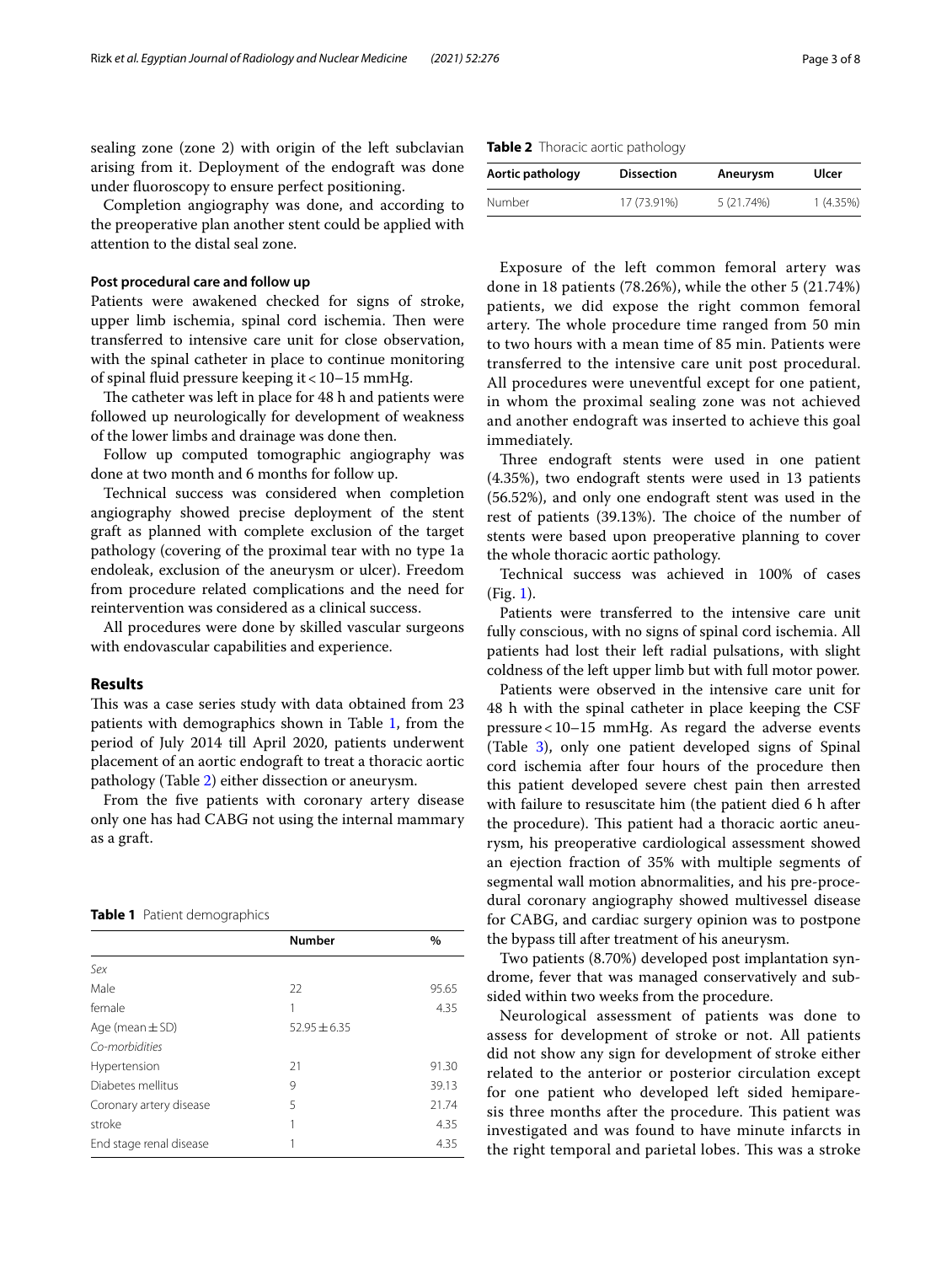sealing zone (zone 2) with origin of the left subclavian arising from it. Deployment of the endograft was done under fuoroscopy to ensure perfect positioning.

Completion angiography was done, and according to the preoperative plan another stent could be applied with attention to the distal seal zone.

#### **Post procedural care and follow up**

Patients were awakened checked for signs of stroke, upper limb ischemia, spinal cord ischemia. Then were transferred to intensive care unit for close observation, with the spinal catheter in place to continue monitoring of spinal fuid pressure keeping it<10–15 mmHg.

The catheter was left in place for 48 h and patients were followed up neurologically for development of weakness of the lower limbs and drainage was done then.

Follow up computed tomographic angiography was done at two month and 6 months for follow up.

Technical success was considered when completion angiography showed precise deployment of the stent graft as planned with complete exclusion of the target pathology (covering of the proximal tear with no type 1a endoleak, exclusion of the aneurysm or ulcer). Freedom from procedure related complications and the need for reintervention was considered as a clinical success.

All procedures were done by skilled vascular surgeons with endovascular capabilities and experience.

#### **Results**

This was a case series study with data obtained from 23 patients with demographics shown in Table [1](#page-2-0), from the period of July 2014 till April 2020, patients underwent placement of an aortic endograft to treat a thoracic aortic pathology (Table [2](#page-2-1)) either dissection or aneurysm.

From the fve patients with coronary artery disease only one has had CABG not using the internal mammary as a graft.

#### <span id="page-2-0"></span>**Table 1** Patient demographics

|                         | <b>Number</b>  | $\%$  |
|-------------------------|----------------|-------|
| Sex                     |                |       |
| Male                    | 22             | 95.65 |
| female                  | 1              | 4.35  |
| Age (mean $\pm$ SD)     | $52.95 + 6.35$ |       |
| Co-morbidities          |                |       |
| Hypertension            | 21             | 91.30 |
| Diabetes mellitus       | 9              | 39.13 |
| Coronary artery disease | 5              | 21.74 |
| stroke                  | 1              | 4.35  |
| End stage renal disease | 1              | 4.35  |

<span id="page-2-1"></span>

|  |  |  | Table 2 Thoracic aortic pathology |
|--|--|--|-----------------------------------|
|--|--|--|-----------------------------------|

| Aortic pathology | <b>Dissection</b> | Aneurysm   | Ulcer    |
|------------------|-------------------|------------|----------|
| Number           | 17 (73.91%)       | 5 (21.74%) | 1(4.35%) |

Exposure of the left common femoral artery was done in 18 patients (78.26%), while the other 5 (21.74%) patients, we did expose the right common femoral artery. The whole procedure time ranged from 50 min to two hours with a mean time of 85 min. Patients were transferred to the intensive care unit post procedural. All procedures were uneventful except for one patient, in whom the proximal sealing zone was not achieved and another endograft was inserted to achieve this goal immediately.

Three endograft stents were used in one patient (4.35%), two endograft stents were used in 13 patients (56.52%), and only one endograft stent was used in the rest of patients (39.13%). The choice of the number of stents were based upon preoperative planning to cover the whole thoracic aortic pathology.

Technical success was achieved in 100% of cases (Fig. [1\)](#page-3-0).

Patients were transferred to the intensive care unit fully conscious, with no signs of spinal cord ischemia. All patients had lost their left radial pulsations, with slight coldness of the left upper limb but with full motor power.

Patients were observed in the intensive care unit for 48 h with the spinal catheter in place keeping the CSF pressure<10–15 mmHg. As regard the adverse events (Table [3](#page-3-1)), only one patient developed signs of Spinal cord ischemia after four hours of the procedure then this patient developed severe chest pain then arrested with failure to resuscitate him (the patient died 6 h after the procedure). This patient had a thoracic aortic aneurysm, his preoperative cardiological assessment showed an ejection fraction of 35% with multiple segments of segmental wall motion abnormalities, and his pre-procedural coronary angiography showed multivessel disease for CABG, and cardiac surgery opinion was to postpone the bypass till after treatment of his aneurysm.

Two patients (8.70%) developed post implantation syndrome, fever that was managed conservatively and subsided within two weeks from the procedure.

Neurological assessment of patients was done to assess for development of stroke or not. All patients did not show any sign for development of stroke either related to the anterior or posterior circulation except for one patient who developed left sided hemiparesis three months after the procedure. This patient was investigated and was found to have minute infarcts in the right temporal and parietal lobes. This was a stroke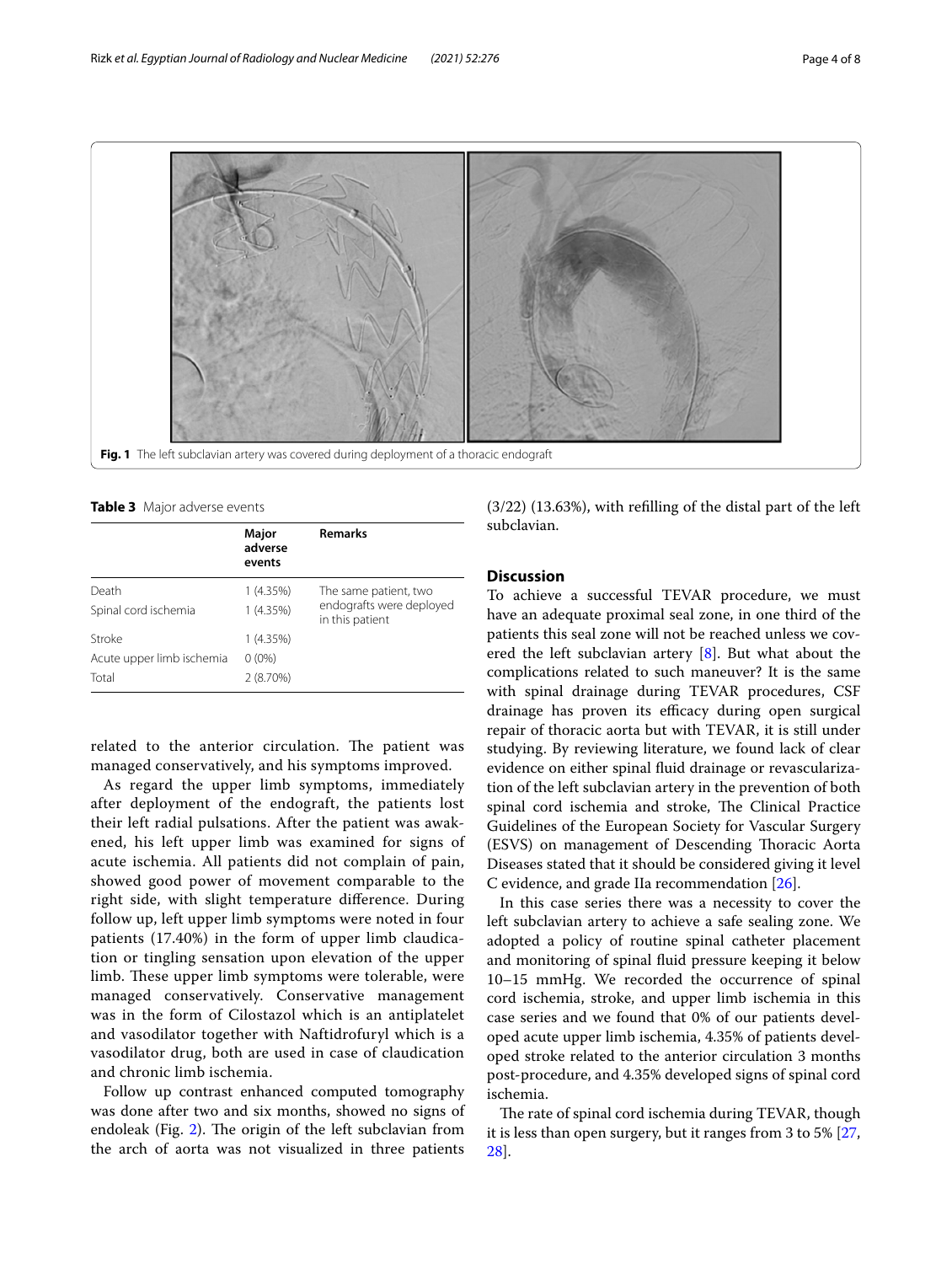

<span id="page-3-1"></span><span id="page-3-0"></span>**Table 3** Major adverse events

|                               | Major<br>adverse<br>events | <b>Remarks</b>                                                       |
|-------------------------------|----------------------------|----------------------------------------------------------------------|
| Death<br>Spinal cord ischemia | 1(4.35%)<br>1(4.35%)       | The same patient, two<br>endografts were deployed<br>in this patient |
| Stroke                        | 1(4.35%)                   |                                                                      |
| Acute upper limb ischemia     | $0(0\%)$                   |                                                                      |
| Total                         | $2(8.70\%)$                |                                                                      |

related to the anterior circulation. The patient was managed conservatively, and his symptoms improved.

As regard the upper limb symptoms, immediately after deployment of the endograft, the patients lost their left radial pulsations. After the patient was awakened, his left upper limb was examined for signs of acute ischemia. All patients did not complain of pain, showed good power of movement comparable to the right side, with slight temperature diference. During follow up, left upper limb symptoms were noted in four patients (17.40%) in the form of upper limb claudication or tingling sensation upon elevation of the upper limb. These upper limb symptoms were tolerable, were managed conservatively. Conservative management was in the form of Cilostazol which is an antiplatelet and vasodilator together with Naftidrofuryl which is a vasodilator drug, both are used in case of claudication and chronic limb ischemia.

Follow up contrast enhanced computed tomography was done after two and six months, showed no signs of endoleak (Fig.  $2$ ). The origin of the left subclavian from the arch of aorta was not visualized in three patients (3/22) (13.63%), with reflling of the distal part of the left subclavian.

## **Discussion**

To achieve a successful TEVAR procedure, we must have an adequate proximal seal zone, in one third of the patients this seal zone will not be reached unless we covered the left subclavian artery [[8\]](#page-5-5). But what about the complications related to such maneuver? It is the same with spinal drainage during TEVAR procedures, CSF drainage has proven its efficacy during open surgical repair of thoracic aorta but with TEVAR, it is still under studying. By reviewing literature, we found lack of clear evidence on either spinal fuid drainage or revascularization of the left subclavian artery in the prevention of both spinal cord ischemia and stroke, The Clinical Practice Guidelines of the European Society for Vascular Surgery (ESVS) on management of Descending Thoracic Aorta Diseases stated that it should be considered giving it level C evidence, and grade IIa recommendation [[26\]](#page-6-12).

In this case series there was a necessity to cover the left subclavian artery to achieve a safe sealing zone. We adopted a policy of routine spinal catheter placement and monitoring of spinal fuid pressure keeping it below 10–15 mmHg. We recorded the occurrence of spinal cord ischemia, stroke, and upper limb ischemia in this case series and we found that 0% of our patients developed acute upper limb ischemia, 4.35% of patients developed stroke related to the anterior circulation 3 months post-procedure, and 4.35% developed signs of spinal cord ischemia.

The rate of spinal cord ischemia during TEVAR, though it is less than open surgery, but it ranges from 3 to 5% [[27](#page-6-13), [28\]](#page-6-14).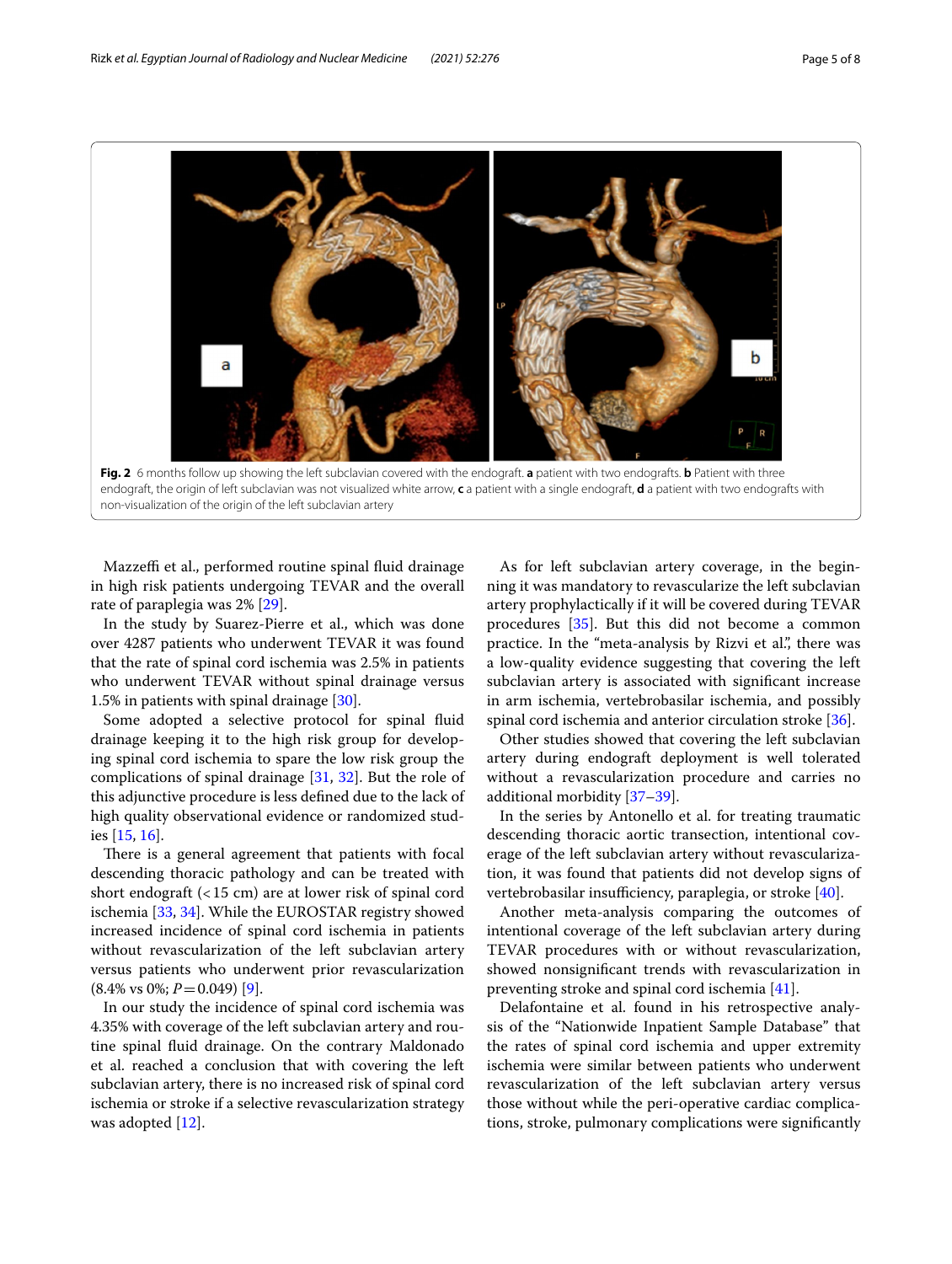

<span id="page-4-0"></span>endograft, the origin of left subclavian was not visualized white arrow, **c** a patient with a single endograft, **d** a patient with two endografts with non-visualization of the origin of the left subclavian artery

Mazzeffi et al., performed routine spinal fluid drainage in high risk patients undergoing TEVAR and the overall rate of paraplegia was 2% [[29](#page-6-15)].

In the study by Suarez-Pierre et al., which was done over 4287 patients who underwent TEVAR it was found that the rate of spinal cord ischemia was 2.5% in patients who underwent TEVAR without spinal drainage versus 1.5% in patients with spinal drainage [[30\]](#page-6-16).

Some adopted a selective protocol for spinal fuid drainage keeping it to the high risk group for developing spinal cord ischemia to spare the low risk group the complications of spinal drainage  $[31, 32]$  $[31, 32]$  $[31, 32]$  $[31, 32]$ . But the role of this adjunctive procedure is less defned due to the lack of high quality observational evidence or randomized studies [\[15,](#page-6-3) [16](#page-6-4)].

There is a general agreement that patients with focal descending thoracic pathology and can be treated with short endograft (<15 cm) are at lower risk of spinal cord ischemia [\[33](#page-6-19), [34\]](#page-6-20). While the EUROSTAR registry showed increased incidence of spinal cord ischemia in patients without revascularization of the left subclavian artery versus patients who underwent prior revascularization  $(8.4\% \text{ vs } 0\%; P=0.049)$  [\[9](#page-5-6)].

In our study the incidence of spinal cord ischemia was 4.35% with coverage of the left subclavian artery and routine spinal fuid drainage. On the contrary Maldonado et al. reached a conclusion that with covering the left subclavian artery, there is no increased risk of spinal cord ischemia or stroke if a selective revascularization strategy was adopted [\[12\]](#page-6-0).

As for left subclavian artery coverage, in the beginning it was mandatory to revascularize the left subclavian artery prophylactically if it will be covered during TEVAR procedures [[35\]](#page-6-21). But this did not become a common practice. In the "meta-analysis by Rizvi et al.", there was a low-quality evidence suggesting that covering the left subclavian artery is associated with signifcant increase in arm ischemia, vertebrobasilar ischemia, and possibly spinal cord ischemia and anterior circulation stroke [\[36\]](#page-6-22).

Other studies showed that covering the left subclavian artery during endograft deployment is well tolerated without a revascularization procedure and carries no additional morbidity [\[37](#page-6-23)[–39\]](#page-6-24).

In the series by Antonello et al. for treating traumatic descending thoracic aortic transection, intentional coverage of the left subclavian artery without revascularization, it was found that patients did not develop signs of vertebrobasilar insufficiency, paraplegia, or stroke  $[40]$  $[40]$ .

Another meta-analysis comparing the outcomes of intentional coverage of the left subclavian artery during TEVAR procedures with or without revascularization, showed nonsignifcant trends with revascularization in preventing stroke and spinal cord ischemia [[41\]](#page-6-26).

Delafontaine et al. found in his retrospective analysis of the "Nationwide Inpatient Sample Database" that the rates of spinal cord ischemia and upper extremity ischemia were similar between patients who underwent revascularization of the left subclavian artery versus those without while the peri-operative cardiac complications, stroke, pulmonary complications were signifcantly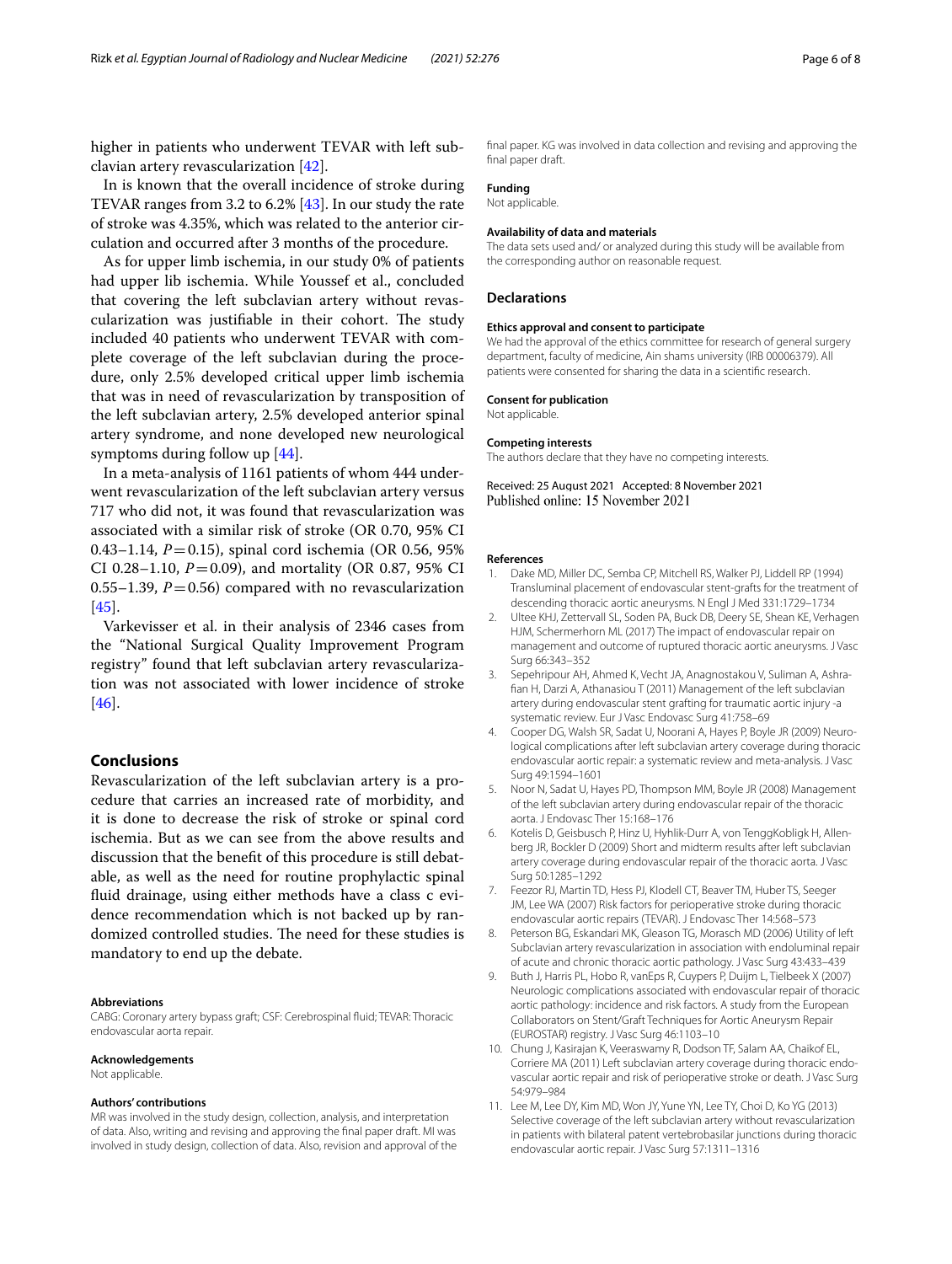higher in patients who underwent TEVAR with left subclavian artery revascularization [\[42\]](#page-6-27).

In is known that the overall incidence of stroke during TEVAR ranges from 3.2 to 6.2% [\[43](#page-6-28)]. In our study the rate of stroke was 4.35%, which was related to the anterior circulation and occurred after 3 months of the procedure.

As for upper limb ischemia, in our study 0% of patients had upper lib ischemia. While Youssef et al., concluded that covering the left subclavian artery without revascularization was justifiable in their cohort. The study included 40 patients who underwent TEVAR with complete coverage of the left subclavian during the procedure, only 2.5% developed critical upper limb ischemia that was in need of revascularization by transposition of the left subclavian artery, 2.5% developed anterior spinal artery syndrome, and none developed new neurological symptoms during follow up [\[44](#page-6-29)].

In a meta-analysis of 1161 patients of whom 444 underwent revascularization of the left subclavian artery versus 717 who did not, it was found that revascularization was associated with a similar risk of stroke (OR 0.70, 95% CI 0.43–1.14, *P*=0.15), spinal cord ischemia (OR 0.56, 95% CI 0.28–1.10,  $P = 0.09$ ), and mortality (OR 0.87, 95% CI 0.55–1.39,  $P = 0.56$ ) compared with no revascularization [[45\]](#page-6-30).

Varkevisser et al. in their analysis of 2346 cases from the "National Surgical Quality Improvement Program registry" found that left subclavian artery revascularization was not associated with lower incidence of stroke [[46\]](#page-7-0).

## **Conclusions**

Revascularization of the left subclavian artery is a procedure that carries an increased rate of morbidity, and it is done to decrease the risk of stroke or spinal cord ischemia. But as we can see from the above results and discussion that the beneft of this procedure is still debatable, as well as the need for routine prophylactic spinal fuid drainage, using either methods have a class c evidence recommendation which is not backed up by randomized controlled studies. The need for these studies is mandatory to end up the debate.

#### **Abbreviations**

CABG: Coronary artery bypass graft; CSF: Cerebrospinal fuid; TEVAR: Thoracic endovascular aorta repair.

#### **Acknowledgements**

Not applicable.

#### **Authors' contributions**

MR was involved in the study design, collection, analysis, and interpretation of data. Also, writing and revising and approving the fnal paper draft. MI was involved in study design, collection of data. Also, revision and approval of the

fnal paper. KG was involved in data collection and revising and approving the fnal paper draft.

## **Funding**

Not applicable.

#### **Availability of data and materials**

The data sets used and/ or analyzed during this study will be available from the corresponding author on reasonable request.

#### **Declarations**

#### **Ethics approval and consent to participate**

We had the approval of the ethics committee for research of general surgery department, faculty of medicine, Ain shams university (IRB 00006379). All patients were consented for sharing the data in a scientifc research.

#### **Consent for publication**

Not applicable.

#### **Competing interests**

The authors declare that they have no competing interests.

Received: 25 August 2021 Accepted: 8 November 2021 Published online: 15 November 2021

#### **References**

- <span id="page-5-0"></span>1. Dake MD, Miller DC, Semba CP, Mitchell RS, Walker PJ, Liddell RP (1994) Transluminal placement of endovascular stent-grafts for the treatment of descending thoracic aortic aneurysms. N Engl J Med 331:1729–1734
- <span id="page-5-1"></span>2. Ultee KHJ, Zettervall SL, Soden PA, Buck DB, Deery SE, Shean KE, Verhagen HJM, Schermerhorn ML (2017) The impact of endovascular repair on management and outcome of ruptured thoracic aortic aneurysms. J Vasc Surg 66:343–352
- <span id="page-5-2"></span>3. Sepehripour AH, Ahmed K, Vecht JA, Anagnostakou V, Suliman A, Ashrafan H, Darzi A, Athanasiou T (2011) Management of the left subclavian artery during endovascular stent grafting for traumatic aortic injury -a systematic review. Eur J Vasc Endovasc Surg 41:758–69
- 4. Cooper DG, Walsh SR, Sadat U, Noorani A, Hayes P, Boyle JR (2009) Neurological complications after left subclavian artery coverage during thoracic endovascular aortic repair: a systematic review and meta-analysis. J Vasc Surg 49:1594–1601
- <span id="page-5-3"></span>5. Noor N, Sadat U, Hayes PD, Thompson MM, Boyle JR (2008) Management of the left subclavian artery during endovascular repair of the thoracic aorta. J Endovasc Ther 15:168–176
- <span id="page-5-4"></span>6. Kotelis D, Geisbusch P, Hinz U, Hyhlik-Durr A, von TenggKobligk H, Allenberg JR, Bockler D (2009) Short and midterm results after left subclavian artery coverage during endovascular repair of the thoracic aorta. J Vasc Surg 50:1285–1292
- 7. Feezor RJ, Martin TD, Hess PJ, Klodell CT, Beaver TM, Huber TS, Seeger JM, Lee WA (2007) Risk factors for perioperative stroke during thoracic endovascular aortic repairs (TEVAR). J Endovasc Ther 14:568–573
- <span id="page-5-5"></span>8. Peterson BG, Eskandari MK, Gleason TG, Morasch MD (2006) Utility of left Subclavian artery revascularization in association with endoluminal repair of acute and chronic thoracic aortic pathology. J Vasc Surg 43:433–439
- <span id="page-5-6"></span>9. Buth J, Harris PL, Hobo R, vanEps R, Cuypers P, Duijm L, Tielbeek X (2007) Neurologic complications associated with endovascular repair of thoracic aortic pathology: incidence and risk factors. A study from the European Collaborators on Stent/Graft Techniques for Aortic Aneurysm Repair (EUROSTAR) registry. J Vasc Surg 46:1103–10
- <span id="page-5-7"></span>10. Chung J, Kasirajan K, Veeraswamy R, Dodson TF, Salam AA, Chaikof EL, Corriere MA (2011) Left subclavian artery coverage during thoracic endovascular aortic repair and risk of perioperative stroke or death. J Vasc Surg 54:979–984
- <span id="page-5-8"></span>11. Lee M, Lee DY, Kim MD, Won JY, Yune YN, Lee TY, Choi D, Ko YG (2013) Selective coverage of the left subclavian artery without revascularization in patients with bilateral patent vertebrobasilar junctions during thoracic endovascular aortic repair. J Vasc Surg 57:1311–1316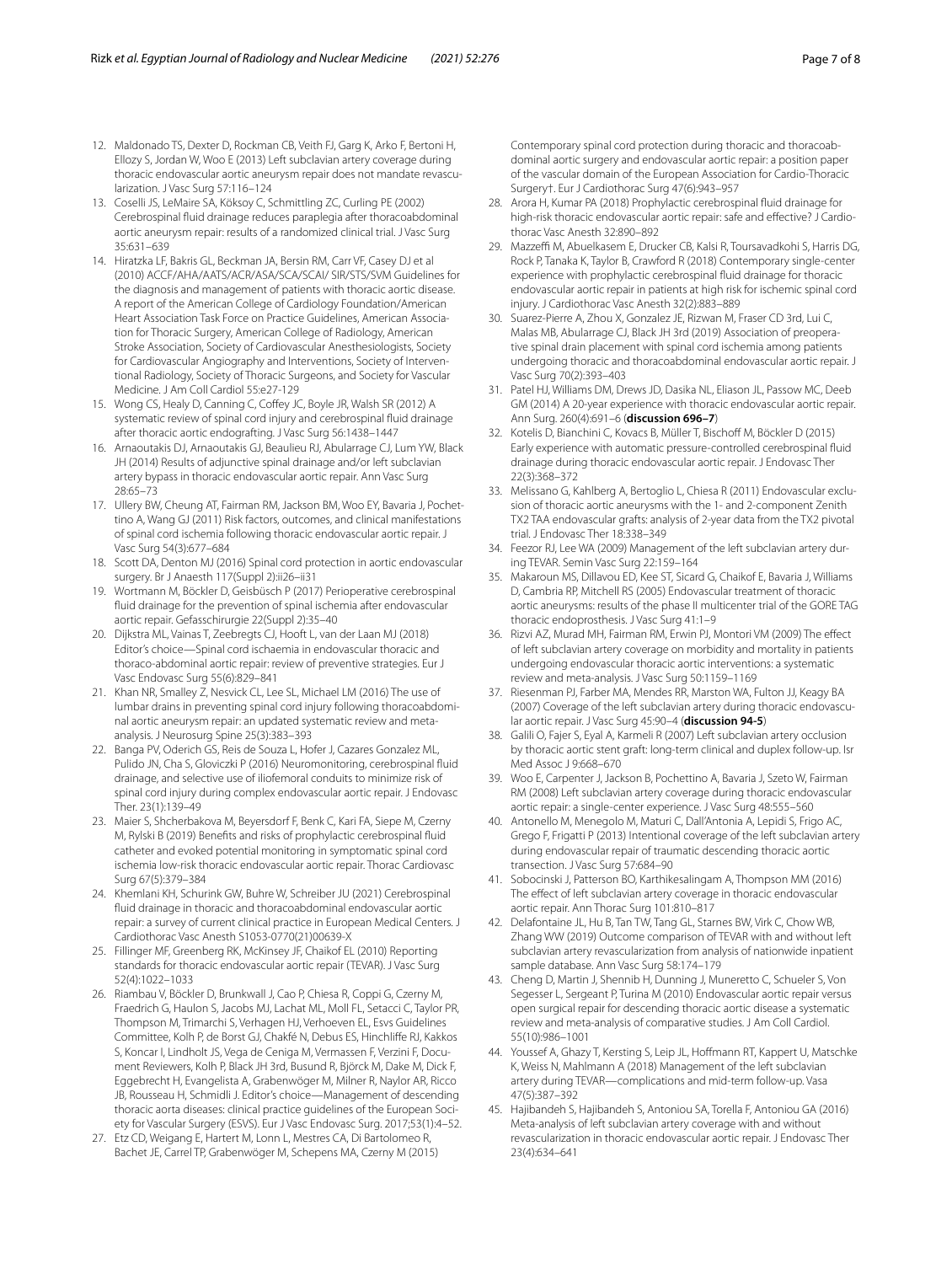- <span id="page-6-0"></span>12. Maldonado TS, Dexter D, Rockman CB, Veith FJ, Garg K, Arko F, Bertoni H, Ellozy S, Jordan W, Woo E (2013) Left subclavian artery coverage during thoracic endovascular aortic aneurysm repair does not mandate revascularization. J Vasc Surg 57:116–124
- <span id="page-6-1"></span>13. Coselli JS, LeMaire SA, Köksoy C, Schmittling ZC, Curling PE (2002) Cerebrospinal fuid drainage reduces paraplegia after thoracoabdominal aortic aneurysm repair: results of a randomized clinical trial. J Vasc Surg 35:631–639
- <span id="page-6-2"></span>14. Hiratzka LF, Bakris GL, Beckman JA, Bersin RM, Carr VF, Casey DJ et al (2010) ACCF/AHA/AATS/ACR/ASA/SCA/SCAI/ SIR/STS/SVM Guidelines for the diagnosis and management of patients with thoracic aortic disease. A report of the American College of Cardiology Foundation/American Heart Association Task Force on Practice Guidelines, American Association for Thoracic Surgery, American College of Radiology, American Stroke Association, Society of Cardiovascular Anesthesiologists, Society for Cardiovascular Angiography and Interventions, Society of Interventional Radiology, Society of Thoracic Surgeons, and Society for Vascular Medicine. J Am Coll Cardiol 55:e27-129
- <span id="page-6-3"></span>15. Wong CS, Healy D, Canning C, Coffey JC, Boyle JR, Walsh SR (2012) A systematic review of spinal cord injury and cerebrospinal fuid drainage after thoracic aortic endografting. J Vasc Surg 56:1438–1447
- <span id="page-6-4"></span>16. Arnaoutakis DJ, Arnaoutakis GJ, Beaulieu RJ, Abularrage CJ, Lum YW, Black JH (2014) Results of adjunctive spinal drainage and/or left subclavian artery bypass in thoracic endovascular aortic repair. Ann Vasc Surg 28:65–73
- <span id="page-6-5"></span>17. Ullery BW, Cheung AT, Fairman RM, Jackson BM, Woo EY, Bavaria J, Pochettino A, Wang GJ (2011) Risk factors, outcomes, and clinical manifestations of spinal cord ischemia following thoracic endovascular aortic repair. J Vasc Surg 54(3):677–684
- <span id="page-6-6"></span>18. Scott DA, Denton MJ (2016) Spinal cord protection in aortic endovascular surgery. Br J Anaesth 117(Suppl 2):ii26–ii31
- 19. Wortmann M, Böckler D, Geisbüsch P (2017) Perioperative cerebrospinal fuid drainage for the prevention of spinal ischemia after endovascular aortic repair. Gefasschirurgie 22(Suppl 2):35–40
- <span id="page-6-7"></span>20. Dijkstra ML, Vainas T, Zeebregts CJ, Hooft L, van der Laan MJ (2018) Editor's choice—Spinal cord ischaemia in endovascular thoracic and thoraco-abdominal aortic repair: review of preventive strategies. Eur J Vasc Endovasc Surg 55(6):829–841
- <span id="page-6-8"></span>21. Khan NR, Smalley Z, Nesvick CL, Lee SL, Michael LM (2016) The use of lumbar drains in preventing spinal cord injury following thoracoabdominal aortic aneurysm repair: an updated systematic review and metaanalysis. J Neurosurg Spine 25(3):383–393
- 22. Banga PV, Oderich GS, Reis de Souza L, Hofer J, Cazares Gonzalez ML, Pulido JN, Cha S, Gloviczki P (2016) Neuromonitoring, cerebrospinal fuid drainage, and selective use of iliofemoral conduits to minimize risk of spinal cord injury during complex endovascular aortic repair. J Endovasc Ther. 23(1):139–49
- <span id="page-6-9"></span>23. Maier S, Shcherbakova M, Beyersdorf F, Benk C, Kari FA, Siepe M, Czerny M, Rylski B (2019) Benefts and risks of prophylactic cerebrospinal fuid catheter and evoked potential monitoring in symptomatic spinal cord ischemia low-risk thoracic endovascular aortic repair. Thorac Cardiovasc Surg 67(5):379–384
- <span id="page-6-10"></span>24. Khemlani KH, Schurink GW, Buhre W, Schreiber JU (2021) Cerebrospinal fuid drainage in thoracic and thoracoabdominal endovascular aortic repair: a survey of current clinical practice in European Medical Centers. J Cardiothorac Vasc Anesth S1053-0770(21)00639-X
- <span id="page-6-11"></span>25. Fillinger MF, Greenberg RK, McKinsey JF, Chaikof EL (2010) Reporting standards for thoracic endovascular aortic repair (TEVAR). J Vasc Surg 52(4):1022–1033
- <span id="page-6-12"></span>26. Riambau V, Böckler D, Brunkwall J, Cao P, Chiesa R, Coppi G, Czerny M, Fraedrich G, Haulon S, Jacobs MJ, Lachat ML, Moll FL, Setacci C, Taylor PR, Thompson M, Trimarchi S, Verhagen HJ, Verhoeven EL, Esvs Guidelines Committee, Kolh P, de Borst GJ, Chakfé N, Debus ES, Hinchlife RJ, Kakkos S, Koncar I, Lindholt JS, Vega de Ceniga M, Vermassen F, Verzini F, Document Reviewers, Kolh P, Black JH 3rd, Busund R, Björck M, Dake M, Dick F, Eggebrecht H, Evangelista A, Grabenwöger M, Milner R, Naylor AR, Ricco JB, Rousseau H, Schmidli J. Editor's choice—Management of descending thoracic aorta diseases: clinical practice guidelines of the European Society for Vascular Surgery (ESVS). Eur J Vasc Endovasc Surg. 2017;53(1):4–52.
- <span id="page-6-13"></span>27. Etz CD, Weigang E, Hartert M, Lonn L, Mestres CA, Di Bartolomeo R, Bachet JE, Carrel TP, Grabenwöger M, Schepens MA, Czerny M (2015)

Contemporary spinal cord protection during thoracic and thoracoabdominal aortic surgery and endovascular aortic repair: a position paper of the vascular domain of the European Association for Cardio-Thoracic Surgery†. Eur J Cardiothorac Surg 47(6):943–957

- <span id="page-6-14"></span>28. Arora H, Kumar PA (2018) Prophylactic cerebrospinal fuid drainage for high-risk thoracic endovascular aortic repair: safe and effective? J Cardiothorac Vasc Anesth 32:890–892
- <span id="page-6-15"></span>29. Mazzeffi M, Abuelkasem E, Drucker CB, Kalsi R, Toursavadkohi S, Harris DG, Rock P, Tanaka K, Taylor B, Crawford R (2018) Contemporary single-center experience with prophylactic cerebrospinal fuid drainage for thoracic endovascular aortic repair in patients at high risk for ischemic spinal cord injury. J Cardiothorac Vasc Anesth 32(2):883–889
- <span id="page-6-16"></span>30. Suarez-Pierre A, Zhou X, Gonzalez JE, Rizwan M, Fraser CD 3rd, Lui C, Malas MB, Abularrage CJ, Black JH 3rd (2019) Association of preoperative spinal drain placement with spinal cord ischemia among patients undergoing thoracic and thoracoabdominal endovascular aortic repair. J Vasc Surg 70(2):393–403
- <span id="page-6-17"></span>31. Patel HJ, Williams DM, Drews JD, Dasika NL, Eliason JL, Passow MC, Deeb GM (2014) A 20-year experience with thoracic endovascular aortic repair. Ann Surg. 260(4):691–6 (**discussion 696–7**)
- <span id="page-6-18"></span>32. Kotelis D, Bianchini C, Kovacs B, Müller T, Bischof M, Böckler D (2015) Early experience with automatic pressure-controlled cerebrospinal fuid drainage during thoracic endovascular aortic repair. J Endovasc Ther 22(3):368–372
- <span id="page-6-19"></span>33. Melissano G, Kahlberg A, Bertoglio L, Chiesa R (2011) Endovascular exclusion of thoracic aortic aneurysms with the 1- and 2-component Zenith TX2 TAA endovascular grafts: analysis of 2-year data from the TX2 pivotal trial. J Endovasc Ther 18:338–349
- <span id="page-6-20"></span>34. Feezor RJ, Lee WA (2009) Management of the left subclavian artery during TEVAR. Semin Vasc Surg 22:159–164
- <span id="page-6-21"></span>35. Makaroun MS, Dillavou ED, Kee ST, Sicard G, Chaikof E, Bavaria J, Williams D, Cambria RP, Mitchell RS (2005) Endovascular treatment of thoracic aortic aneurysms: results of the phase II multicenter trial of the GORE TAG thoracic endoprosthesis. J Vasc Surg 41:1–9
- <span id="page-6-22"></span>36. Rizvi AZ, Murad MH, Fairman RM, Erwin PJ, Montori VM (2009) The efect of left subclavian artery coverage on morbidity and mortality in patients undergoing endovascular thoracic aortic interventions: a systematic review and meta-analysis. J Vasc Surg 50:1159–1169
- <span id="page-6-23"></span>37. Riesenman PJ, Farber MA, Mendes RR, Marston WA, Fulton JJ, Keagy BA (2007) Coverage of the left subclavian artery during thoracic endovascular aortic repair. J Vasc Surg 45:90–4 (**discussion 94-5**)
- 38. Galili O, Fajer S, Eyal A, Karmeli R (2007) Left subclavian artery occlusion by thoracic aortic stent graft: long-term clinical and duplex follow-up. Isr Med Assoc J 9:668–670
- <span id="page-6-24"></span>39. Woo E, Carpenter J, Jackson B, Pochettino A, Bavaria J, Szeto W, Fairman RM (2008) Left subclavian artery coverage during thoracic endovascular aortic repair: a single-center experience. J Vasc Surg 48:555–560
- <span id="page-6-25"></span>40. Antonello M, Menegolo M, Maturi C, Dall'Antonia A, Lepidi S, Frigo AC, Grego F, Frigatti P (2013) Intentional coverage of the left subclavian artery during endovascular repair of traumatic descending thoracic aortic transection. J Vasc Surg 57:684–90
- <span id="page-6-26"></span>41. Sobocinski J, Patterson BO, Karthikesalingam A, Thompson MM (2016) The effect of left subclavian artery coverage in thoracic endovascular aortic repair. Ann Thorac Surg 101:810–817
- <span id="page-6-27"></span>42. Delafontaine JL, Hu B, Tan TW, Tang GL, Starnes BW, Virk C, Chow WB, Zhang WW (2019) Outcome comparison of TEVAR with and without left subclavian artery revascularization from analysis of nationwide inpatient sample database. Ann Vasc Surg 58:174–179
- <span id="page-6-28"></span>43. Cheng D, Martin J, Shennib H, Dunning J, Muneretto C, Schueler S, Von Segesser L, Sergeant P, Turina M (2010) Endovascular aortic repair versus open surgical repair for descending thoracic aortic disease a systematic review and meta-analysis of comparative studies. J Am Coll Cardiol. 55(10):986–1001
- <span id="page-6-29"></span>44. Youssef A, Ghazy T, Kersting S, Leip JL, Hofmann RT, Kappert U, Matschke K, Weiss N, Mahlmann A (2018) Management of the left subclavian artery during TEVAR—complications and mid-term follow-up. Vasa 47(5):387–392
- <span id="page-6-30"></span>45. Hajibandeh S, Hajibandeh S, Antoniou SA, Torella F, Antoniou GA (2016) Meta-analysis of left subclavian artery coverage with and without revascularization in thoracic endovascular aortic repair. J Endovasc Ther 23(4):634–641